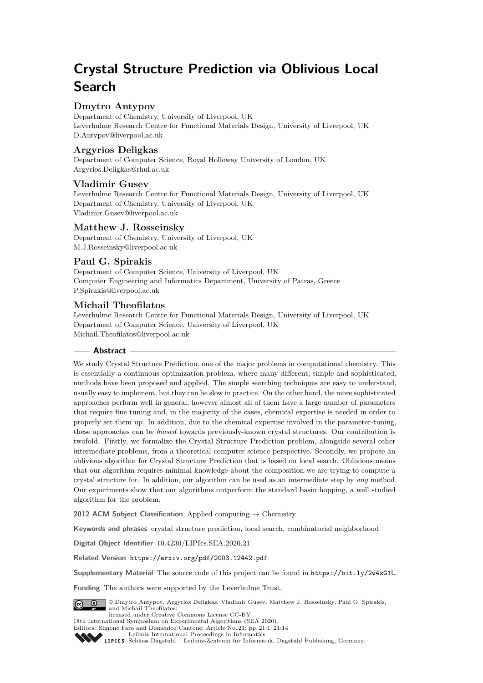# **Crystal Structure Prediction via Oblivious Local Search**

# **Dmytro Antypov**

Department of Chemistry, University of Liverpool, UK Leverhulme Research Centre for Functional Materials Design, University of Liverpool, UK [D.Antypov@liverpool.ac.uk](mailto:D.Antypov@liverpool.ac.uk)

# **Argyrios Deligkas**

Department of Computer Science, Royal Holloway University of London, UK [Argyrios.Deligkas@rhul.ac.uk](mailto:Argyrios.Deligkas@rhul.ac.uk)

# **Vladimir Gusev**

Leverhulme Research Centre for Functional Materials Design, University of Liverpool, UK Department of Chemistry, University of Liverpool, UK [Vladimir.Gusev@liverpool.ac.uk](mailto:Vladimir.Gusev@liverpool.ac.uk)

# **Matthew J. Rosseinsky**

Department of Chemistry, University of Liverpool, UK [M.J.Rosseinsky@liverpool.ac.uk](mailto:M.J.Rosseinsky@liverpool.ac.uk)

# **Paul G. Spirakis**

Department of Computer Science, University of Liverpool, UK Computer Engineering and Informatics Department, University of Patras, Greece [P.Spirakis@liverpool.ac.uk](mailto:P.Spirakis@liverpool.ac.uk)

# **Michail Theofilatos**

Leverhulme Research Centre for Functional Materials Design, University of Liverpool, UK Department of Computer Science, University of Liverpool, UK [Michail.Theofilatos@liverpool.ac.uk](mailto:Michail.Theofilatos@liverpool.ac.uk)

# **Abstract**

We study Crystal Structure Prediction, one of the major problems in computational chemistry. This is essentially a continuous optimization problem, where many different, simple and sophisticated, methods have been proposed and applied. The simple searching techniques are easy to understand, usually easy to implement, but they can be slow in practice. On the other hand, the more sophisticated approaches perform well in general, however almost all of them have a large number of parameters that require fine tuning and, in the majority of the cases, chemical expertise is needed in order to properly set them up. In addition, due to the chemical expertise involved in the parameter-tuning, these approaches can be *biased* towards previously-known crystal structures. Our contribution is twofold. Firstly, we formalize the Crystal Structure Prediction problem, alongside several other intermediate problems, from a theoretical computer science perspective. Secondly, we propose an oblivious algorithm for Crystal Structure Prediction that is based on local search. Oblivious means that our algorithm requires minimal knowledge about the composition we are trying to compute a crystal structure for. In addition, our algorithm can be used as an intermediate step by *any* method. Our experiments show that our algorithms outperform the standard basin hopping, a well studied algorithm for the problem.

**2012 ACM Subject Classification** Applied computing → Chemistry

**Keywords and phrases** crystal structure prediction, local search, combinatorial neighborhood

**Digital Object Identifier** [10.4230/LIPIcs.SEA.2020.21](https://doi.org/10.4230/LIPIcs.SEA.2020.21)

**Related Version** <https://arxiv.org/pdf/2003.12442.pdf>

**Supplementary Material** The source code of this project can be found in <https://bit.ly/2w4zG1L>.

**Funding** The authors were supported by the Leverhulme Trust.



© Dmytro Antypov, Argyrios Deligkas, Vladimir Gusev, Matthew J. Rosseinsky, Paul G. Spirakis, and Michail Theofilatos; licensed under Creative Commons License CC-BY

18th International Symposium on Experimental Algorithms (SEA 2020).

Editors: Simone Faro and Domenico Cantone; Article No. 21; pp. 21:1–21[:14](#page-13-0)

[Leibniz International Proceedings in Informatics](https://www.dagstuhl.de/lipics/)

[Schloss Dagstuhl – Leibniz-Zentrum für Informatik, Dagstuhl Publishing, Germany](https://www.dagstuhl.de)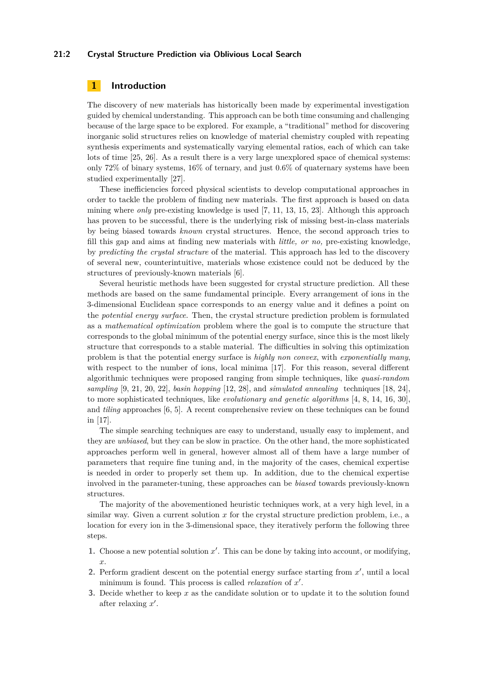#### **21:2 Crystal Structure Prediction via Oblivious Local Search**

# **1 Introduction**

The discovery of new materials has historically been made by experimental investigation guided by chemical understanding. This approach can be both time consuming and challenging because of the large space to be explored. For example, a "traditional" method for discovering inorganic solid structures relies on knowledge of material chemistry coupled with repeating synthesis experiments and systematically varying elemental ratios, each of which can take lots of time [\[25,](#page-13-1) [26\]](#page-13-2). As a result there is a very large unexplored space of chemical systems: only 72% of binary systems, 16% of ternary, and just 0*.*6% of quaternary systems have been studied experimentally [\[27\]](#page-13-3).

These inefficiencies forced physical scientists to develop computational approaches in order to tackle the problem of finding new materials. The first approach is based on data mining where *only* pre-existing knowledge is used [\[7,](#page-12-0) [11,](#page-12-1) [13,](#page-12-2) [15,](#page-12-3) [23\]](#page-13-4). Although this approach has proven to be successful, there is the underlying risk of missing best-in-class materials by being biased towards *known* crystal structures. Hence, the second approach tries to fill this gap and aims at finding new materials with *little, or no,* pre-existing knowledge, by *predicting the crystal structure* of the material. This approach has led to the discovery of several new, counterintuitive, materials whose existence could not be deduced by the structures of previously-known materials [\[6\]](#page-12-4).

Several heuristic methods have been suggested for crystal structure prediction. All these methods are based on the same fundamental principle. Every arrangement of ions in the 3-dimensional Euclidean space corresponds to an energy value and it defines a point on the *potential energy surface*. Then, the crystal structure prediction problem is formulated as a *mathematical optimization* problem where the goal is to compute the structure that corresponds to the global minimum of the potential energy surface, since this is the most likely structure that corresponds to a stable material. The difficulties in solving this optimization problem is that the potential energy surface is *highly non convex*, with *exponentially many*, with respect to the number of ions, local minima [\[17\]](#page-13-5). For this reason, several different algorithmic techniques were proposed ranging from simple techniques, like *quasi-random sampling* [\[9,](#page-12-5) [21,](#page-13-6) [20,](#page-13-7) [22\]](#page-13-8), *basin hopping* [\[12,](#page-12-6) [28\]](#page-13-9), and *simulated annealing* techniques [\[18,](#page-13-10) [24\]](#page-13-11), to more sophisticated techniques, like *evolutionary and genetic algorithms* [\[4,](#page-12-7) [8,](#page-12-8) [14,](#page-12-9) [16,](#page-13-12) [30\]](#page-13-13), and *tiling* approaches [\[6,](#page-12-4) [5\]](#page-12-10). A recent comprehensive review on these techniques can be found in [\[17\]](#page-13-5).

The simple searching techniques are easy to understand, usually easy to implement, and they are *unbiased*, but they can be slow in practice. On the other hand, the more sophisticated approaches perform well in general, however almost all of them have a large number of parameters that require fine tuning and, in the majority of the cases, chemical expertise is needed in order to properly set them up. In addition, due to the chemical expertise involved in the parameter-tuning, these approaches can be *biased* towards previously-known structures.

The majority of the abovementioned heuristic techniques work, at a very high level, in a similar way. Given a current solution *x* for the crystal structure prediction problem, i.e., a location for every ion in the 3-dimensional space, they iteratively perform the following three steps.

- **1.** Choose a new potential solution  $x'$ . This can be done by taking into account, or modifying, *x*.
- 2. Perform gradient descent on the potential energy surface starting from  $x'$ , until a local minimum is found. This process is called *relaxation* of x'.
- **3.** Decide whether to keep *x* as the candidate solution or to update it to the solution found after relaxing x'.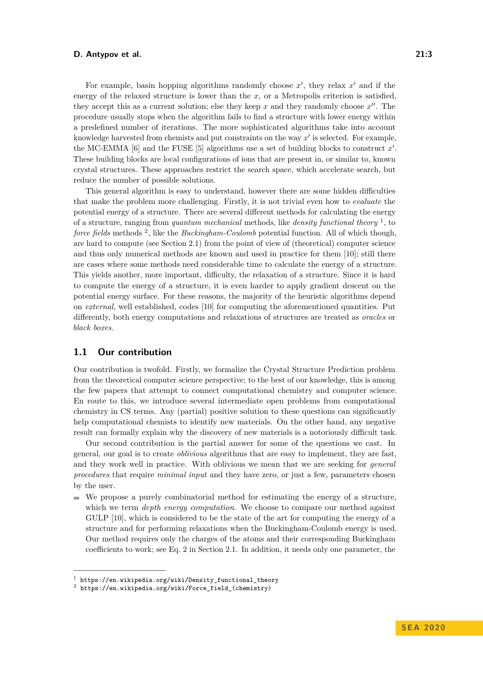For example, basin hopping algorithms randomly choose  $x'$ , they relax  $x'$  and if the energy of the relaxed structure is lower than the *x*, or a Metropolis criterion is satisfied, they accept this as a current solution; else they keep  $x$  and they randomly choose  $x''$ . The procedure usually stops when the algorithm fails to find a structure with lower energy within a predefined number of iterations. The more sophisticated algorithms take into account knowledge harvested from chemists and put constraints on the way  $x'$  is selected. For example, the MC-EMMA  $[6]$  and the FUSE  $[5]$  algorithms use a set of building blocks to construct  $x'$ . These building blocks are local configurations of ions that are present in, or similar to, known crystal structures. These approaches restrict the search space, which accelerate search, but reduce the number of possible solutions.

This general algorithm is easy to understand, however there are some hidden difficulties that make the problem more challenging. Firstly, it is not trivial even how to *evaluate* the potential energy of a structure. There are several different methods for calculating the energy of a structure, ranging from *quantum mechanical* methods, like *density functional theory* [1](#page-2-0) , to force fields methods <sup>[2](#page-2-1)</sup>, like the *Buckingham-Coulomb* potential function. All of which though, are hard to compute (see Section [2.1\)](#page-4-0) from the point of view of (theoretical) computer science and thus only numerical methods are known and used in practice for them [\[10\]](#page-12-11); still there are cases where some methods need considerable time to calculate the energy of a structure. This yields another, more important, difficulty, the relaxation of a structure. Since it is hard to compute the energy of a structure, it is even harder to apply gradient descent on the potential energy surface. For these reasons, the majority of the heuristic algorithms depend on *external*, well established, codes [\[10\]](#page-12-11) for computing the aforementioned quantities. Put differently, both energy computations and relaxations of structures are treated as *oracles* or *black boxes*.

## **1.1 Our contribution**

Our contribution is twofold. Firstly, we formalize the Crystal Structure Prediction problem from the theoretical computer science perspective; to the best of our knowledge, this is among the few papers that attempt to connect computational chemistry and computer science. En route to this, we introduce several intermediate open problems from computational chemistry in CS terms. Any (partial) positive solution to these questions can significantly help computational chemists to identify new materials. On the other hand, any negative result can formally explain why the discovery of new materials is a notoriously difficult task.

Our second contribution is the partial answer for some of the questions we cast. In general, our goal is to create *oblivious* algorithms that are easy to implement, they are fast, and they work well in practice. With oblivious we mean that we are seeking for *general procedures* that require *minimal input* and they have zero, or just a few, parameters chosen by the user.

 $\blacksquare$  We propose a purely combinatorial method for estimating the energy of a structure, which we term *depth energy computation*. We choose to compare our method against GULP [\[10\]](#page-12-11), which is considered to be the state of the art for computing the energy of a structure and for performing relaxations when the Buckingham-Coulomb energy is used. Our method requires only the charges of the atoms and their corresponding Buckingham coefficients to work; see Eq. [2](#page-5-0) in Section [2.1.](#page-4-0) In addition, it needs only one parameter, the

<span id="page-2-0"></span><sup>1</sup> [https://en.wikipedia.org/wiki/Density\\_functional\\_theory](https://en.wikipedia.org/wiki/Density_functional_theory)

<span id="page-2-1"></span> $^2$  [https://en.wikipedia.org/wiki/Force\\_field\\_\(chemistry\)](https://en.wikipedia.org/wiki/Force_field_(chemistry))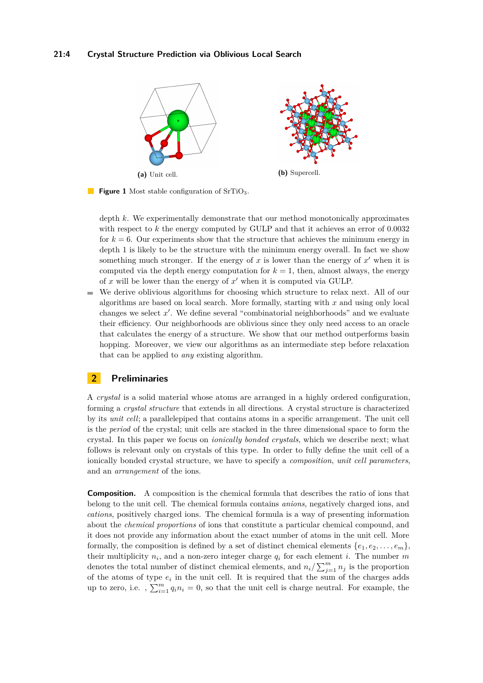

**Figure 1** Most stable configuration of SrTiO<sub>3</sub>.

depth *k*. We experimentally demonstrate that our method monotonically approximates with respect to *k* the energy computed by GULP and that it achieves an error of 0*.*0032 for  $k = 6$ . Our experiments show that the structure that achieves the minimum energy in depth 1 is likely to be the structure with the minimum energy overall. In fact we show something much stronger. If the energy of  $x$  is lower than the energy of  $x'$  when it is computed via the depth energy computation for  $k = 1$ , then, almost always, the energy of  $x$  will be lower than the energy of  $x'$  when it is computed via GULP.

We derive oblivious algorithms for choosing which structure to relax next. All of our  $\sim$ algorithms are based on local search. More formally, starting with *x* and using only local changes we select  $x'$ . We define several "combinatorial neighborhoods" and we evaluate their efficiency. Our neighborhoods are oblivious since they only need access to an oracle that calculates the energy of a structure. We show that our method outperforms basin hopping. Moreover, we view our algorithms as an intermediate step before relaxation that can be applied to *any* existing algorithm.

## **2 Preliminaries**

A *crystal* is a solid material whose atoms are arranged in a highly ordered configuration, forming a *crystal structure* that extends in all directions. A crystal structure is characterized by its *unit cell*; a parallelepiped that contains atoms in a specific arrangement. The unit cell is the *period* of the crystal; unit cells are stacked in the three dimensional space to form the crystal. In this paper we focus on *ionically bonded crystals*, which we describe next; what follows is relevant only on crystals of this type. In order to fully define the unit cell of a ionically bonded crystal structure, we have to specify a *composition*, *unit cell parameters*, and an *arrangement* of the ions.

**Composition.** A composition is the chemical formula that describes the ratio of ions that belong to the unit cell. The chemical formula contains *anions*, negatively charged ions, and *cations*, positively charged ions. The chemical formula is a way of presenting information about the *chemical proportions* of ions that constitute a particular chemical compound, and it does not provide any information about the exact number of atoms in the unit cell. More formally, the composition is defined by a set of distinct chemical elements  $\{e_1, e_2, \ldots, e_m\}$ , their multiplicity  $n_i$ , and a non-zero integer charge  $q_i$  for each element *i*. The number  $m$ denotes the total number of distinct chemical elements, and  $n_i / \sum_{j=1}^{m} n_j$  is the proportion of the atoms of type  $e_i$  in the unit cell. It is required that the sum of the charges adds up to zero, i.e.,  $\sum_{i=1}^{m} q_i n_i = 0$ , so that the unit cell is charge neutral. For example, the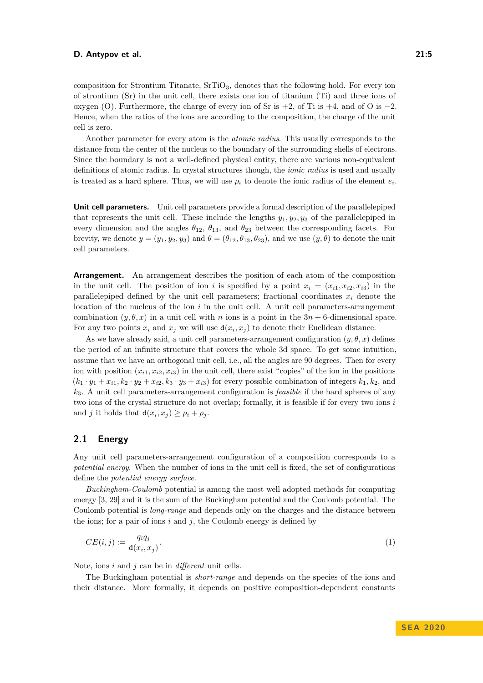composition for Strontium Titanate,  $SrTiO<sub>3</sub>$ , denotes that the following hold. For every ion

of strontium (Sr) in the unit cell, there exists one ion of titanium (Ti) and three ions of oxygen (O). Furthermore, the charge of every ion of Sr is  $+2$ , of Ti is  $+4$ , and of O is  $-2$ . Hence, when the ratios of the ions are according to the composition, the charge of the unit cell is zero.

Another parameter for every atom is the *atomic radius*. This usually corresponds to the distance from the center of the nucleus to the boundary of the surrounding shells of electrons. Since the boundary is not a well-defined physical entity, there are various non-equivalent definitions of atomic radius. In crystal structures though, the *ionic radius* is used and usually is treated as a hard sphere. Thus, we will use  $\rho_i$  to denote the ionic radius of the element  $e_i$ .

**Unit cell parameters.** Unit cell parameters provide a formal description of the parallelepiped that represents the unit cell. These include the lengths  $y_1, y_2, y_3$  of the parallelepiped in every dimension and the angles  $\theta_{12}$ ,  $\theta_{13}$ , and  $\theta_{23}$  between the corresponding facets. For brevity, we denote  $y = (y_1, y_2, y_3)$  and  $\theta = (\theta_{12}, \theta_{13}, \theta_{23})$ , and we use  $(y, \theta)$  to denote the unit cell parameters.

**Arrangement.** An arrangement describes the position of each atom of the composition in the unit cell. The position of ion *i* is specified by a point  $x_i = (x_{i1}, x_{i2}, x_{i3})$  in the parallelepiped defined by the unit cell parameters; fractional coordinates  $x_i$  denote the location of the nucleus of the ion *i* in the unit cell. A unit cell parameters-arrangement combination  $(y, \theta, x)$  in a unit cell with *n* ions is a point in the  $3n + 6$ -dimensional space. For any two points  $x_i$  and  $x_j$  we will use  $d(x_i, x_j)$  to denote their Euclidean distance.

As we have already said, a unit cell parameters-arrangement configuration  $(y, \theta, x)$  defines the period of an infinite structure that covers the whole 3d space. To get some intuition, assume that we have an orthogonal unit cell, i.e., all the angles are 90 degrees. Then for every ion with position  $(x_{i1}, x_{i2}, x_{i3})$  in the unit cell, there exist "copies" of the ion in the positions  $(k_1 \cdot y_1 + x_{i1}, k_2 \cdot y_2 + x_{i2}, k_3 \cdot y_3 + x_{i3})$  for every possible combination of integers  $k_1, k_2$ , and *k*3. A unit cell parameters-arrangement configuration is *feasible* if the hard spheres of any two ions of the crystal structure do not overlap; formally, it is feasible if for every two ions *i* and *j* it holds that  $d(x_i, x_j) \ge \rho_i + \rho_j$ .

# <span id="page-4-0"></span>**2.1 Energy**

Any unit cell parameters-arrangement configuration of a composition corresponds to a *potential energy*. When the number of ions in the unit cell is fixed, the set of configurations define the *potential energy surface*.

*Buckingham-Coulomb* potential is among the most well adopted methods for computing energy [\[3,](#page-12-12) [29\]](#page-13-14) and it is the sum of the Buckingham potential and the Coulomb potential. The Coulomb potential is *long-range* and depends only on the charges and the distance between the ions; for a pair of ions *i* and *j*, the Coulomb energy is defined by

<span id="page-4-1"></span>
$$
CE(i,j) := \frac{q_i q_j}{\mathsf{d}(x_i, x_j)}.\tag{1}
$$

Note, ions *i* and *j* can be in *different* unit cells.

The Buckingham potential is *short-range* and depends on the species of the ions and their distance. More formally, it depends on positive composition-dependent constants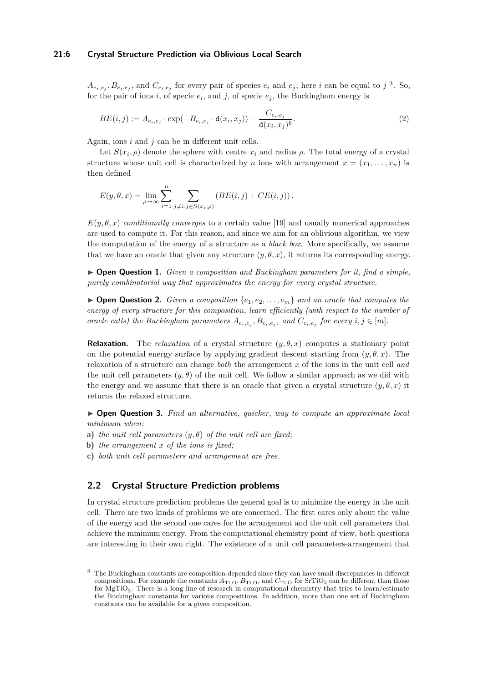#### **21:6 Crystal Structure Prediction via Oblivious Local Search**

 $A_{e_i,e_j}, B_{e_i,e_j}$ , and  $C_{e_i,e_j}$  for every pair of species  $e_i$  and  $e_j$ ; here i can be equal to j<sup>[3](#page-5-1)</sup>. So, for the pair of ions *i*, of specie  $e_i$ , and *j*, of specie  $e_j$ , the Buckingham energy is

<span id="page-5-0"></span>
$$
BE(i,j) := A_{e_i,e_j} \cdot \exp(-B_{e_i,e_j} \cdot \mathbf{d}(x_i,x_j)) - \frac{C_{e_i,e_j}}{\mathbf{d}(x_i,x_j)^6}.
$$
 (2)

Again, ions *i* and *j* can be in different unit cells.

Let  $S(x_i, \rho)$  denote the sphere with centre  $x_i$  and radius  $\rho$ . The total energy of a crystal structure whose unit cell is characterized by *n* ions with arrangement  $x = (x_1, \ldots, x_n)$  is then defined

$$
E(y, \theta, x) = \lim_{\rho \to \infty} \sum_{i=1}^{n} \sum_{j \neq i, j \in S(x_i, \rho)} \left( BE(i, j) + CE(i, j) \right).
$$

 $E(y, \theta, x)$  *conditionally converges* to a certain value [\[19\]](#page-13-15) and usually numerical approaches are used to compute it. For this reason, and since we aim for an oblivious algorithm, we view the computation of the energy of a structure as a *black box*. More specifically, we assume that we have an oracle that given any structure  $(y, \theta, x)$ , it returns its corresponding energy.

<span id="page-5-2"></span>I **Open Question 1.** *Given a composition and Buckingham parameters for it, find a simple, purely combinatorial way that approximates the energy for every crystal structure.*

 $\triangleright$  **Open Question 2.** *Given a composition*  $\{e_1, e_2, \ldots, e_m\}$  *and an oracle that computes the energy of every structure for this composition, learn efficiently (with respect to the number of* oracle calls) the Buckingham parameters  $A_{e_i,e_j}, B_{e_i,e_j}$ , and  $C_{e_i,e_j}$  for every  $i, j \in [m]$ .

**Relaxation.** The *relaxation* of a crystal structure  $(y, \theta, x)$  computes a stationary point on the potential energy surface by applying gradient descent starting from  $(y, \theta, x)$ . The relaxation of a structure can change *both* the arrangement *x* of the ions in the unit cell *and* the unit cell parameters  $(y, \theta)$  of the unit cell. We follow a similar approach as we did with the energy and we assume that there is an oracle that given a crystal structure  $(y, \theta, x)$  it returns the relaxed structure.

I **Open Question 3.** *Find an alternative, quicker, way to compute an approximate local minimum when:*

- **a)** *the unit cell parameters* (*y, θ*) *of the unit cell are fixed;*
- **b)** *the arrangement x of the ions is fixed;*
- **c)** *both unit cell parameters and arrangement are free.*

# **2.2 Crystal Structure Prediction problems**

In crystal structure prediction problems the general goal is to minimize the energy in the unit cell. There are two kinds of problems we are concerned. The first cares only about the value of the energy and the second one cares for the arrangement and the unit cell parameters that achieve the minimum energy. From the computational chemistry point of view, both questions are interesting in their own right. The existence of a unit cell parameters-arrangement that

<span id="page-5-1"></span><sup>&</sup>lt;sup>3</sup> The Buckingham constants are composition-depended since they can have small discrepancies in different compositions. For example the constants  $A_{Ti,O}$ ,  $B_{Ti,O}$ , and  $C_{Ti,O}$  for SrTiO<sub>3</sub> can be different than those for  $MgTiO<sub>3</sub>$ . There is a long line of research in computational chemistry that tries to learn/estimate the Buckingham constants for various compositions. In addition, more than one set of Buckingham constants can be available for a given composition.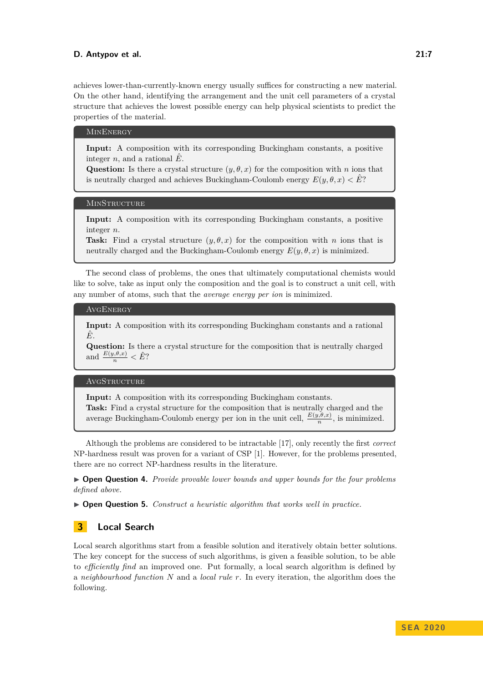achieves lower-than-currently-known energy usually suffices for constructing a new material. On the other hand, identifying the arrangement and the unit cell parameters of a crystal structure that achieves the lowest possible energy can help physical scientists to predict the properties of the material.

#### **MINENERGY**

**Input:** A composition with its corresponding Buckingham constants, a positive integer *n*, and a rational  $\hat{E}$ .

**Question:** Is there a crystal structure  $(y, \theta, x)$  for the composition with *n* ions that is neutrally charged and achieves Buckingham-Coulomb energy  $E(y, \theta, x) < \hat{E}$ ?

#### **MINSTRUCTURE**

**Input:** A composition with its corresponding Buckingham constants, a positive integer *n*.

**Task:** Find a crystal structure  $(y, \theta, x)$  for the composition with *n* ions that is neutrally charged and the Buckingham-Coulomb energy  $E(y, \theta, x)$  is minimized.

The second class of problems, the ones that ultimately computational chemists would like to solve, take as input only the composition and the goal is to construct a unit cell, with any number of atoms, such that the *average energy per ion* is minimized.

#### **AVGENERGY**

**Input:** A composition with its corresponding Buckingham constants and a rational *E*ˆ.

**Question:** Is there a crystal structure for the composition that is neutrally charged and  $\frac{E(y,\theta,x)}{n} < \hat{E}$ ?

#### AVGSTRUCTURE

**Input:** A composition with its corresponding Buckingham constants.

**Task:** Find a crystal structure for the composition that is neutrally charged and the average Buckingham-Coulomb energy per ion in the unit cell,  $\frac{E(y,\theta,x)}{n}$ , is minimized.

Although the problems are considered to be intractable [\[17\]](#page-13-5), only recently the first *correct* NP-hardness result was proven for a variant of CSP [\[1\]](#page-12-13). However, for the problems presented, there are no correct NP-hardness results in the literature.

I **Open Question 4.** *Provide provable lower bounds and upper bounds for the four problems defined above.*

▶ **Open Question 5.** *Construct a heuristic algorithm that works well in practice.* 

## <span id="page-6-0"></span>**3 Local Search**

Local search algorithms start from a feasible solution and iteratively obtain better solutions. The key concept for the success of such algorithms, is given a feasible solution, to be able to *efficiently find* an improved one. Put formally, a local search algorithm is defined by a *neighbourhood function N* and a *local rule r*. In every iteration, the algorithm does the following.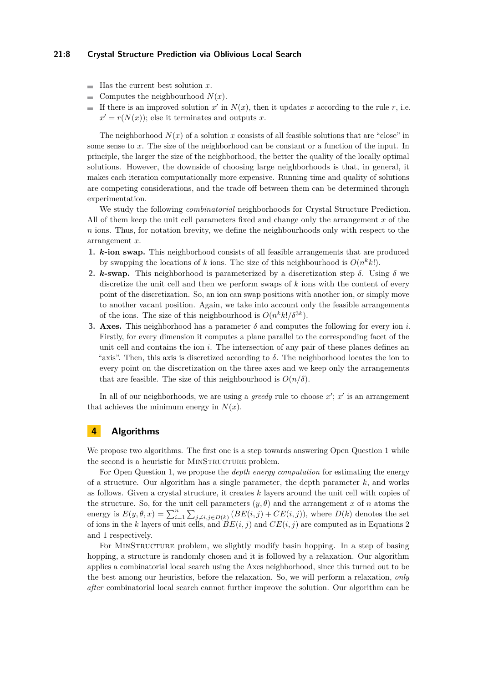#### **21:8 Crystal Structure Prediction via Oblivious Local Search**

- $\blacksquare$  Has the current best solution *x*.
- Computes the neighbourhood  $N(x)$ .
- If there is an improved solution  $x'$  in  $N(x)$ , then it updates  $x$  according to the rule  $r$ , i.e.  $\blacksquare$  $x' = r(N(x))$ ; else it terminates and outputs *x*.

The neighborhood  $N(x)$  of a solution x consists of all feasible solutions that are "close" in some sense to *x*. The size of the neighborhood can be constant or a function of the input. In principle, the larger the size of the neighborhood, the better the quality of the locally optimal solutions. However, the downside of choosing large neighborhoods is that, in general, it makes each iteration computationally more expensive. Running time and quality of solutions are competing considerations, and the trade off between them can be determined through experimentation.

We study the following *combinatorial* neighborhoods for Crystal Structure Prediction. All of them keep the unit cell parameters fixed and change only the arrangement *x* of the *n* ions. Thus, for notation brevity, we define the neighbourhoods only with respect to the arrangement *x*.

- **1.** *k***-ion swap.** This neighborhood consists of all feasible arrangements that are produced by swapping the locations of *k* ions. The size of this neighbourhood is  $O(n^k k!)$ .
- **2.** *k***-swap.** This neighborhood is parameterized by a discretization step  $\delta$ . Using  $\delta$  we discretize the unit cell and then we perform swaps of *k* ions with the content of every point of the discretization. So, an ion can swap positions with another ion, or simply move to another vacant position. Again, we take into account only the feasible arrangements of the ions. The size of this neighbourhood is  $O(n^k k! / \delta^{3k})$ .
- **3. Axes.** This neighborhood has a parameter  $\delta$  and computes the following for every ion *i*. Firstly, for every dimension it computes a plane parallel to the corresponding facet of the unit cell and contains the ion *i*. The intersection of any pair of these planes defines an "axis". Then, this axis is discretized according to  $\delta$ . The neighborhood locates the ion to every point on the discretization on the three axes and we keep only the arrangements that are feasible. The size of this neighbourhood is  $O(n/\delta)$ .

In all of our neighborhoods, we are using a *greedy* rule to choose  $x'$ ;  $x'$  is an arrangement that achieves the minimum energy in  $N(x)$ .

# <span id="page-7-0"></span>**4 Algorithms**

We propose two algorithms. The first one is a step towards answering Open Question [1](#page-5-2) while the second is a heuristic for MINSTRUCTURE problem.

For Open Question [1,](#page-5-2) we propose the *depth energy computation* for estimating the energy of a structure. Our algorithm has a single parameter, the depth parameter *k*, and works as follows. Given a crystal structure, it creates *k* layers around the unit cell with copies of the structure. So, for the unit cell parameters  $(y, \theta)$  and the arrangement *x* of *n* atoms the energy is  $E(y, \theta, x) = \sum_{i=1}^{n} \sum_{j \neq i, j \in D(k)} (BE(i, j) + CE(i, j)),$  where  $D(k)$  denotes the set of ions in the *k* layers of unit cells, and  $BE(i, j)$  and  $CE(i, j)$  are computed as in Equations [2](#page-5-0) and [1](#page-4-1) respectively.

For MINSTRUCTURE problem, we slightly modify basin hopping. In a step of basing hopping, a structure is randomly chosen and it is followed by a relaxation. Our algorithm applies a combinatorial local search using the Axes neighborhood, since this turned out to be the best among our heuristics, before the relaxation. So, we will perform a relaxation, *only after* combinatorial local search cannot further improve the solution. Our algorithm can be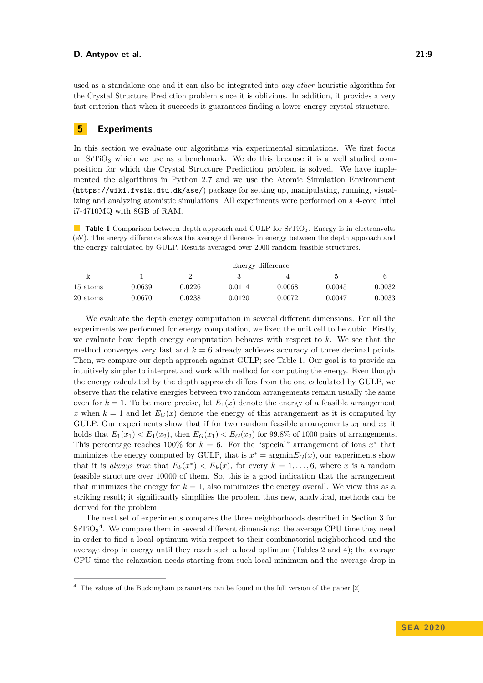used as a standalone one and it can also be integrated into *any other* heuristic algorithm for the Crystal Structure Prediction problem since it is oblivious. In addition, it provides a very fast criterion that when it succeeds it guarantees finding a lower energy crystal structure.

# **5 Experiments**

In this section we evaluate our algorithms via experimental simulations. We first focus on  $SrTiO<sub>3</sub>$  which we use as a benchmark. We do this because it is a well studied composition for which the Crystal Structure Prediction problem is solved. We have implemented the algorithms in Python 2.7 and we use the Atomic Simulation Environment (<https://wiki.fysik.dtu.dk/ase/>) package for setting up, manipulating, running, visualizing and analyzing atomistic simulations. All experiments were performed on a 4-core Intel i7-4710MQ with 8GB of RAM.

<span id="page-8-0"></span>**Table 1** Comparison between depth approach and GULP for SrTiO<sub>3</sub>. Energy is in electronvolts (eV). The energy difference shows the average difference in energy between the depth approach and the energy calculated by GULP. Results averaged over 2000 random feasible structures.

|          |        |        | Energy difference |        |        |        |
|----------|--------|--------|-------------------|--------|--------|--------|
|          |        |        |                   |        |        |        |
| 15 atoms | 0.0639 | 0.0226 | 0.0114            | 0.0068 | 0.0045 | 0.0032 |
| 20 atoms | 0.0670 | 0.0238 | 0.0120            | 0.0072 | 0.0047 | 0.0033 |

We evaluate the depth energy computation in several different dimensions. For all the experiments we performed for energy computation, we fixed the unit cell to be cubic. Firstly, we evaluate how depth energy computation behaves with respect to *k*. We see that the method converges very fast and  $k = 6$  already achieves accuracy of three decimal points. Then, we compare our depth approach against GULP; see Table [1.](#page-8-0) Our goal is to provide an intuitively simpler to interpret and work with method for computing the energy. Even though the energy calculated by the depth approach differs from the one calculated by GULP, we observe that the relative energies between two random arrangements remain usually the same even for  $k = 1$ . To be more precise, let  $E_1(x)$  denote the energy of a feasible arrangement *x* when  $k = 1$  and let  $E_G(x)$  denote the energy of this arrangement as it is computed by GULP. Our experiments show that if for two random feasible arrangements  $x_1$  and  $x_2$  it holds that  $E_1(x_1) < E_1(x_2)$ , then  $E_G(x_1) < E_G(x_2)$  for 99.8% of 1000 pairs of arrangements. This percentage reaches 100% for  $k = 6$ . For the "special" arrangement of ions  $x^*$  that minimizes the energy computed by GULP, that is  $x^* = \operatorname{argmin} E_G(x)$ , our experiments show that it is *always true* that  $E_k(x^*) < E_k(x)$ , for every  $k = 1, \ldots, 6$ , where *x* is a random feasible structure over 10000 of them. So, this is a good indication that the arrangement that minimizes the energy for  $k = 1$ , also minimizes the energy overall. We view this as a striking result; it significantly simplifies the problem thus new, analytical, methods can be derived for the problem.

The next set of experiments compares the three neighborhoods described in Section [3](#page-6-0) for  $SrTiO<sub>3</sub><sup>4</sup>$  $SrTiO<sub>3</sub><sup>4</sup>$  $SrTiO<sub>3</sub><sup>4</sup>$ . We compare them in several different dimensions: the average CPU time they need in order to find a local optimum with respect to their combinatorial neighborhood and the average drop in energy until they reach such a local optimum (Tables [2](#page-9-0) and [4\)](#page-9-1); the average CPU time the relaxation needs starting from such local minimum and the average drop in

<span id="page-8-1"></span><sup>4</sup> The values of the Buckingham parameters can be found in the full version of the paper [\[2\]](#page-12-14)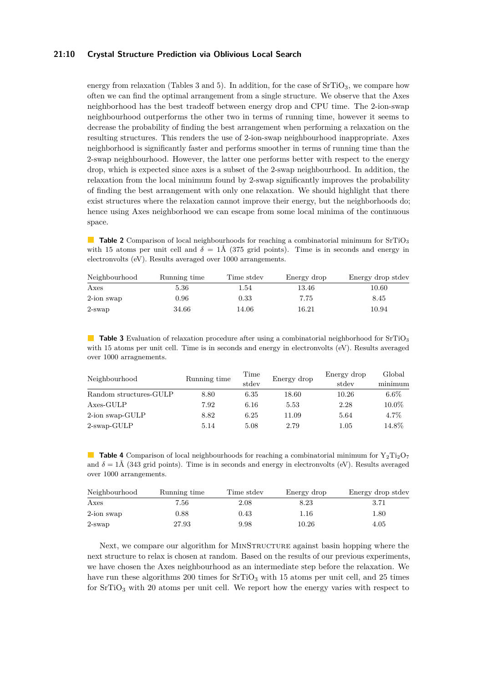#### **21:10 Crystal Structure Prediction via Oblivious Local Search**

energy from relaxation (Tables [3](#page-9-2) and [5\)](#page-10-0). In addition, for the case of  $SrTiO<sub>3</sub>$ , we compare how often we can find the optimal arrangement from a single structure. We observe that the Axes neighborhood has the best tradeoff between energy drop and CPU time. The 2-ion-swap neighbourhood outperforms the other two in terms of running time, however it seems to decrease the probability of finding the best arrangement when performing a relaxation on the resulting structures. This renders the use of 2-ion-swap neighbourhood inappropriate. Axes neighborhood is significantly faster and performs smoother in terms of running time than the 2-swap neighbourhood. However, the latter one performs better with respect to the energy drop, which is expected since axes is a subset of the 2-swap neighbourhood. In addition, the relaxation from the local minimum found by 2-swap significantly improves the probability of finding the best arrangement with only one relaxation. We should highlight that there exist structures where the relaxation cannot improve their energy, but the neighborhoods do; hence using Axes neighborhood we can escape from some local minima of the continuous space.

<span id="page-9-0"></span>**Table 2** Comparison of local neighbourhoods for reaching a combinatorial minimum for SrTiO<sub>3</sub> with 15 atoms per unit cell and  $\delta = 1$ Å (375 grid points). Time is in seconds and energy in electronvolts (eV). Results averaged over 1000 arrangements.

| Neighbourhood | Running time | Time stdev | Energy drop | Energy drop stdev |
|---------------|--------------|------------|-------------|-------------------|
| Axes          | 5.36         | 1.54       | 13.46       | 10.60             |
| 2-ion swap    | 0.96         | 0.33       | 7.75        | 8.45              |
| $2$ -swap     | 34.66        | 14.06      | 16.21       | 10.94             |

<span id="page-9-2"></span>**Table 3** Evaluation of relaxation procedure after using a combinatorial neighborhood for SrTiO<sub>3</sub> with 15 atoms per unit cell. Time is in seconds and energy in electronvolts (eV). Results averaged over 1000 arragnements.

| Neighbourhood          | Running time | Time  | Energy drop | Energy drop | Global   |
|------------------------|--------------|-------|-------------|-------------|----------|
|                        |              | stdev |             | stdev       | minimum  |
| Random structures-GULP | 8.80         | 6.35  | 18.60       | 10.26       | $6.6\%$  |
| Axes-GULP              | 7.92         | 6.16  | 5.53        | 2.28        | $10.0\%$ |
| 2-ion swap-GULP        | 8.82         | 6.25  | 11.09       | 5.64        | 4.7%     |
| 2-swap-GULP            | 5.14         | 5.08  | 2.79        | $1.05\,$    | 14.8%    |

<span id="page-9-1"></span>**Table 4** Comparison of local neighbourhoods for reaching a combinatorial minimum for  $Y_2Ti_2O_7$ and  $\delta = 1$ Å (343 grid points). Time is in seconds and energy in electronvolts (eV). Results averaged over 1000 arrangements.

| Neighbourhood | Running time | Time stdev | Energy drop | Energy drop stdev |
|---------------|--------------|------------|-------------|-------------------|
| Axes          | 7.56         | 2.08       | 8.23        | 3.71              |
| 2-ion swap    | $0.88\,$     | 0.43       | 1.16        | $1.80\,$          |
| 2-swap        | 27.93        | 9.98       | 10.26       | 4.05              |

Next, we compare our algorithm for MINSTRUCTURE against basin hopping where the next structure to relax is chosen at random. Based on the results of our previous experiments, we have chosen the Axes neighbourhood as an intermediate step before the relaxation. We have run these algorithms 200 times for  $SrTiO<sub>3</sub>$  with 15 atoms per unit cell, and 25 times for  $SrTiO<sub>3</sub>$  with 20 atoms per unit cell. We report how the energy varies with respect to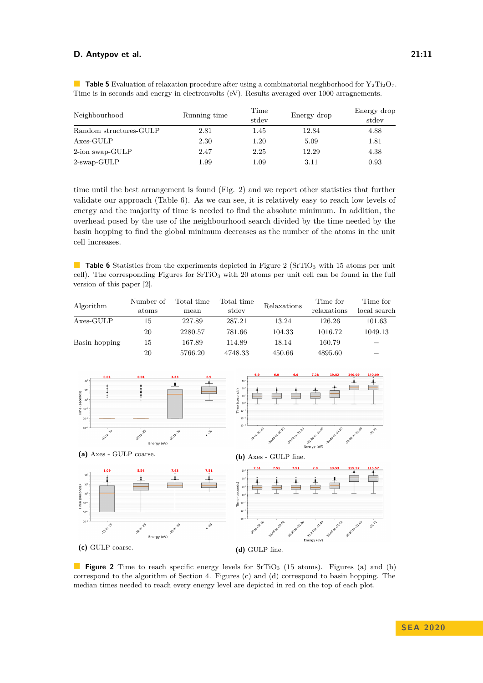| Neighbourhood          | Running time | Time<br>stdev | Energy drop | Energy drop<br>stdev |
|------------------------|--------------|---------------|-------------|----------------------|
| Random structures-GULP | 2.81         | 1.45          | 12.84       | 4.88                 |
| Axes-GULP              | 2.30         | 1.20          | 5.09        | 1.81                 |
| 2-ion swap-GULP        | 2.47         | 2.25          | 12.29       | 4.38                 |
| $2$ -swap-GULP         | 1.99         | 1.09          | 3.11        | 0.93                 |

<span id="page-10-0"></span>**Table 5** Evaluation of relaxation procedure after using a combinatorial neighborhood for Y<sub>2</sub>Ti<sub>2</sub>O<sub>7</sub>. Time is in seconds and energy in electronvolts (eV). Results averaged over 1000 arragnements.

time until the best arrangement is found (Fig. [2\)](#page-10-1) and we report other statistics that further validate our approach (Table [6\)](#page-10-2). As we can see, it is relatively easy to reach low levels of energy and the majority of time is needed to find the absolute minimum. In addition, the overhead posed by the use of the neighbourhood search divided by the time needed by the basin hopping to find the global minimum decreases as the number of the atoms in the unit cell increases.

<span id="page-10-2"></span>**Table 6** Statistics from the experiments depicted in Figure [2](#page-10-1) (SrTiO<sub>3</sub> with 15 atoms per unit cell). The corresponding Figures for SrTiO<sup>3</sup> with 20 atoms per unit cell can be found in the full version of this paper [\[2\]](#page-12-14).

| Algorithm     | Number of | Total time | Total time | Relaxations | Time for    | Time for     |
|---------------|-----------|------------|------------|-------------|-------------|--------------|
|               | atoms     | mean       | stdev      |             | relaxations | local search |
| Axes-GULP     | 15        | 227.89     | 287.21     | 13.24       | 126.26      | 101.63       |
|               | 20        | 2280.57    | 781.66     | 104.33      | 1016.72     | 1049.13      |
| Basin hopping | 15        | 167.89     | 114.89     | 18.14       | 160.79      |              |
|               | 20        | 5766.20    | 4748.33    | 450.66      | 4895.60     |              |

<span id="page-10-1"></span>

**(a)** Axes - GULP coarse. **(b)** Axes - GULP fine.



**Figure 2** Time to reach specific energy levels for SrTiO<sub>3</sub> (15 atoms). Figures (a) and (b) correspond to the algorithm of Section [4.](#page-7-0) Figures (c) and (d) correspond to basin hopping. The median times needed to reach every energy level are depicted in red on the top of each plot.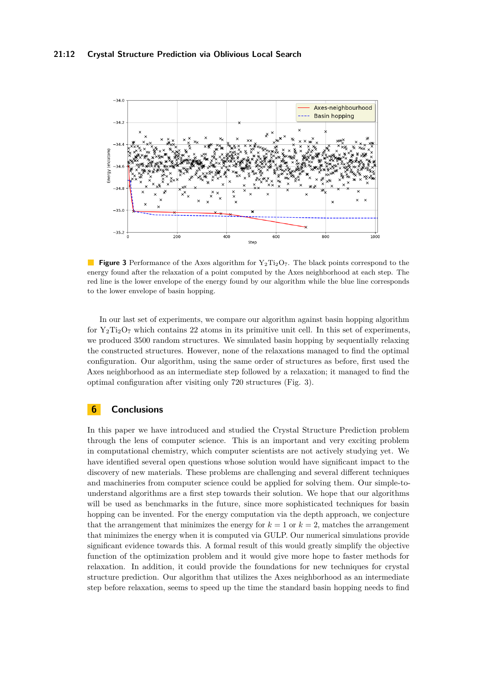<span id="page-11-0"></span>

**Figure 3** Performance of the Axes algorithm for  $Y_2Ti_2O_7$ . The black points correspond to the energy found after the relaxation of a point computed by the Axes neighborhood at each step. The red line is the lower envelope of the energy found by our algorithm while the blue line corresponds to the lower envelope of basin hopping.

In our last set of experiments, we compare our algorithm against basin hopping algorithm for  $Y_2Ti_2O_7$  which contains 22 atoms in its primitive unit cell. In this set of experiments, we produced 3500 random structures. We simulated basin hopping by sequentially relaxing the constructed structures. However, none of the relaxations managed to find the optimal configuration. Our algorithm, using the same order of structures as before, first used the Axes neighborhood as an intermediate step followed by a relaxation; it managed to find the optimal configuration after visiting only 720 structures (Fig. [3\)](#page-11-0).

## **6 Conclusions**

In this paper we have introduced and studied the Crystal Structure Prediction problem through the lens of computer science. This is an important and very exciting problem in computational chemistry, which computer scientists are not actively studying yet. We have identified several open questions whose solution would have significant impact to the discovery of new materials. These problems are challenging and several different techniques and machineries from computer science could be applied for solving them. Our simple-tounderstand algorithms are a first step towards their solution. We hope that our algorithms will be used as benchmarks in the future, since more sophisticated techniques for basin hopping can be invented. For the energy computation via the depth approach, we conjecture that the arrangement that minimizes the energy for  $k = 1$  or  $k = 2$ , matches the arrangement that minimizes the energy when it is computed via GULP. Our numerical simulations provide significant evidence towards this. A formal result of this would greatly simplify the objective function of the optimization problem and it would give more hope to faster methods for relaxation. In addition, it could provide the foundations for new techniques for crystal structure prediction. Our algorithm that utilizes the Axes neighborhood as an intermediate step before relaxation, seems to speed up the time the standard basin hopping needs to find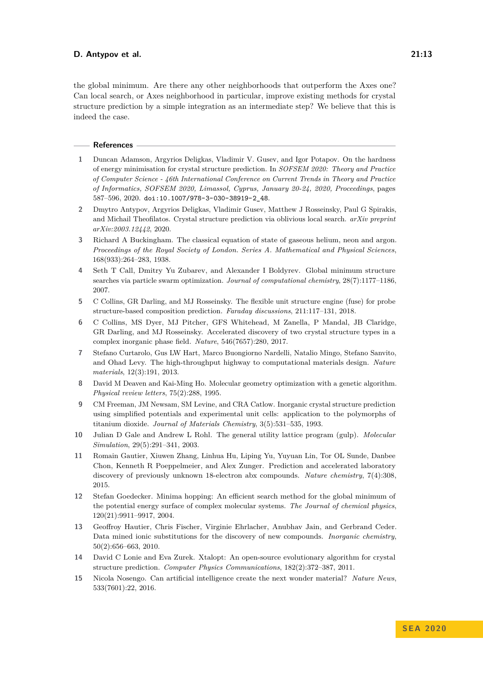the global minimum. Are there any other neighborhoods that outperform the Axes one? Can local search, or Axes neighborhood in particular, improve existing methods for crystal structure prediction by a simple integration as an intermediate step? We believe that this is indeed the case.

#### **References**

- <span id="page-12-13"></span>**1** Duncan Adamson, Argyrios Deligkas, Vladimir V. Gusev, and Igor Potapov. On the hardness of energy minimisation for crystal structure prediction. In *SOFSEM 2020: Theory and Practice of Computer Science - 46th International Conference on Current Trends in Theory and Practice of Informatics, SOFSEM 2020, Limassol, Cyprus, January 20-24, 2020, Proceedings*, pages 587–596, 2020. [doi:10.1007/978-3-030-38919-2\\_48](https://doi.org/10.1007/978-3-030-38919-2_48).
- <span id="page-12-14"></span>**2** Dmytro Antypov, Argyrios Deligkas, Vladimir Gusev, Matthew J Rosseinsky, Paul G Spirakis, and Michail Theofilatos. Crystal structure prediction via oblivious local search. *arXiv preprint arXiv:2003.12442*, 2020.
- <span id="page-12-12"></span>**3** Richard A Buckingham. The classical equation of state of gaseous helium, neon and argon. *Proceedings of the Royal Society of London. Series A. Mathematical and Physical Sciences*, 168(933):264–283, 1938.
- <span id="page-12-7"></span>**4** Seth T Call, Dmitry Yu Zubarev, and Alexander I Boldyrev. Global minimum structure searches via particle swarm optimization. *Journal of computational chemistry*, 28(7):1177–1186, 2007.
- <span id="page-12-10"></span>**5** C Collins, GR Darling, and MJ Rosseinsky. The flexible unit structure engine (fuse) for probe structure-based composition prediction. *Faraday discussions*, 211:117–131, 2018.
- <span id="page-12-4"></span>**6** C Collins, MS Dyer, MJ Pitcher, GFS Whitehead, M Zanella, P Mandal, JB Claridge, GR Darling, and MJ Rosseinsky. Accelerated discovery of two crystal structure types in a complex inorganic phase field. *Nature*, 546(7657):280, 2017.
- <span id="page-12-0"></span>**7** Stefano Curtarolo, Gus LW Hart, Marco Buongiorno Nardelli, Natalio Mingo, Stefano Sanvito, and Ohad Levy. The high-throughput highway to computational materials design. *Nature materials*, 12(3):191, 2013.
- <span id="page-12-8"></span>**8** David M Deaven and Kai-Ming Ho. Molecular geometry optimization with a genetic algorithm. *Physical review letters*, 75(2):288, 1995.
- <span id="page-12-5"></span>**9** CM Freeman, JM Newsam, SM Levine, and CRA Catlow. Inorganic crystal structure prediction using simplified potentials and experimental unit cells: application to the polymorphs of titanium dioxide. *Journal of Materials Chemistry*, 3(5):531–535, 1993.
- <span id="page-12-11"></span>**10** Julian D Gale and Andrew L Rohl. The general utility lattice program (gulp). *Molecular Simulation*, 29(5):291–341, 2003.
- <span id="page-12-1"></span>**11** Romain Gautier, Xiuwen Zhang, Linhua Hu, Liping Yu, Yuyuan Lin, Tor OL Sunde, Danbee Chon, Kenneth R Poeppelmeier, and Alex Zunger. Prediction and accelerated laboratory discovery of previously unknown 18-electron abx compounds. *Nature chemistry*, 7(4):308, 2015.
- <span id="page-12-6"></span>**12** Stefan Goedecker. Minima hopping: An efficient search method for the global minimum of the potential energy surface of complex molecular systems. *The Journal of chemical physics*, 120(21):9911–9917, 2004.
- <span id="page-12-2"></span>**13** Geoffroy Hautier, Chris Fischer, Virginie Ehrlacher, Anubhav Jain, and Gerbrand Ceder. Data mined ionic substitutions for the discovery of new compounds. *Inorganic chemistry*, 50(2):656–663, 2010.
- <span id="page-12-9"></span>**14** David C Lonie and Eva Zurek. Xtalopt: An open-source evolutionary algorithm for crystal structure prediction. *Computer Physics Communications*, 182(2):372–387, 2011.
- <span id="page-12-3"></span>**15** Nicola Nosengo. Can artificial intelligence create the next wonder material? *Nature News*, 533(7601):22, 2016.